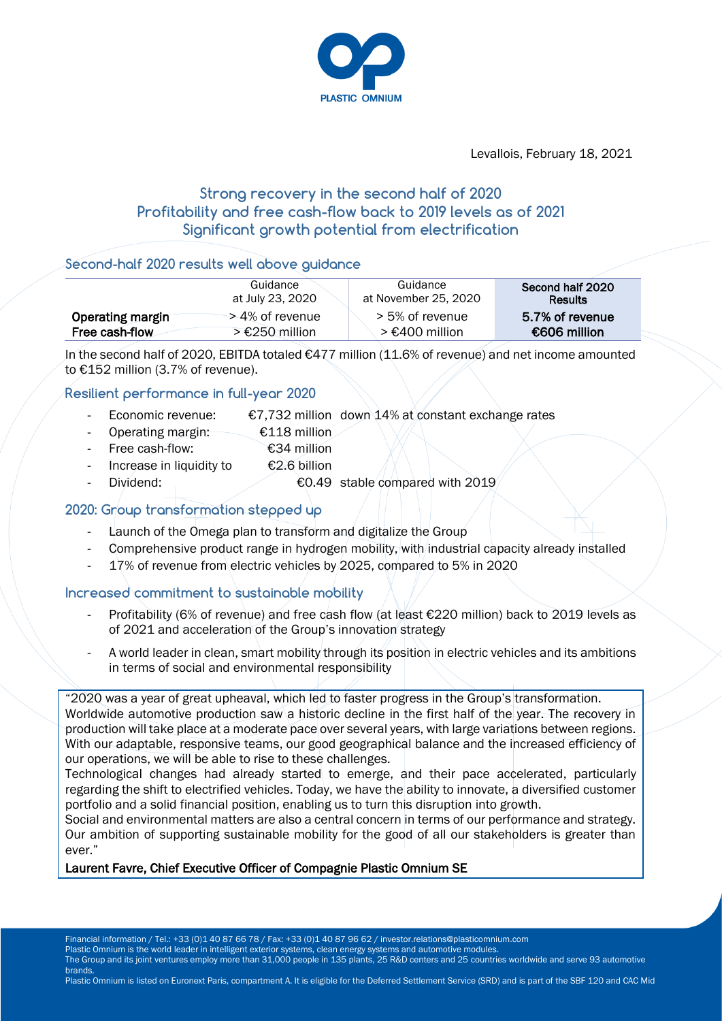

Levallois, February 18, 2021

# **Strong recovery in the second half of 2020 Profitability and free cash-flow back to 2019 levels as of 2021 Significant growth potential from electrification**

#### **Second-half 2020 results well above guidance**

|                  | Guidance         | Guidance             | Second half 2020 |
|------------------|------------------|----------------------|------------------|
|                  | at July 23, 2020 | at November 25, 2020 | <b>Results</b>   |
| Operating margin | > 4% of revenue  | > 5% of revenue      | 5.7% of revenue  |
| Free cash-flow   | $> €250$ million | > €400 million       | €606 million     |

In the second half of 2020, EBITDA totaled €477 million (11.6% of revenue) and net income amounted to €152 million (3.7% of revenue).

### **Resilient performance in full-year 2020**

- Economic revenue:  $E7,732$  million down 14% at constant exchange rates
- Operating margin: €118 million
- Free cash-flow: €34 million
- Increase in liquidity to  $\epsilon$  2.6 billion
- Dividend: <del>€</del>0.49 stable compared with 2019

### **2020: Group transformation stepped up**

- Launch of the Omega plan to transform and digitalize the Group
- Comprehensive product range in hydrogen mobility, with industrial capacity already installed
- 17% of revenue from electric vehicles by 2025, compared to 5% in 2020

#### **Increased commitment to sustainable mobility**

- Profitability (6% of revenue) and free cash flow (at least €220 million) back to 2019 levels as of 2021 and acceleration of the Group's innovation strategy
- A world leader in clean, smart mobility through its position in electric vehicles and its ambitions in terms of social and environmental responsibility

"2020 was a year of great upheaval, which led to faster progress in the Group's transformation. Worldwide automotive production saw a historic decline in the first half of the year. The recovery in production will take place at a moderate pace over several years, with large variations between regions. With our adaptable, responsive teams, our good geographical balance and the increased efficiency of our operations, we will be able to rise to these challenges.

Technological changes had already started to emerge, and their pace accelerated, particularly regarding the shift to electrified vehicles. Today, we have the ability to innovate, a diversified customer portfolio and a solid financial position, enabling us to turn this disruption into growth.

Social and environmental matters are also a central concern in terms of our performance and strategy. Our ambition of supporting sustainable mobility for the good of all our stakeholders is greater than ever."

#### Laurent Favre, Chief Executive Officer of Compagnie Plastic Omnium SE

Plastic Omnium is the world leader in intelligent exterior systems, clean energy systems and automotive modules.

The Group and its joint ventures employ more than 31,000 people in 135 plants, 25 R&D centers and 25 countries worldwide and serve 93 automotive brands.

Plastic Omnium is listed on Euronext Paris, compartment A. It is eligible for the Deferred Settlement Service (SRD) and is part of the SBF 120 and CAC Mid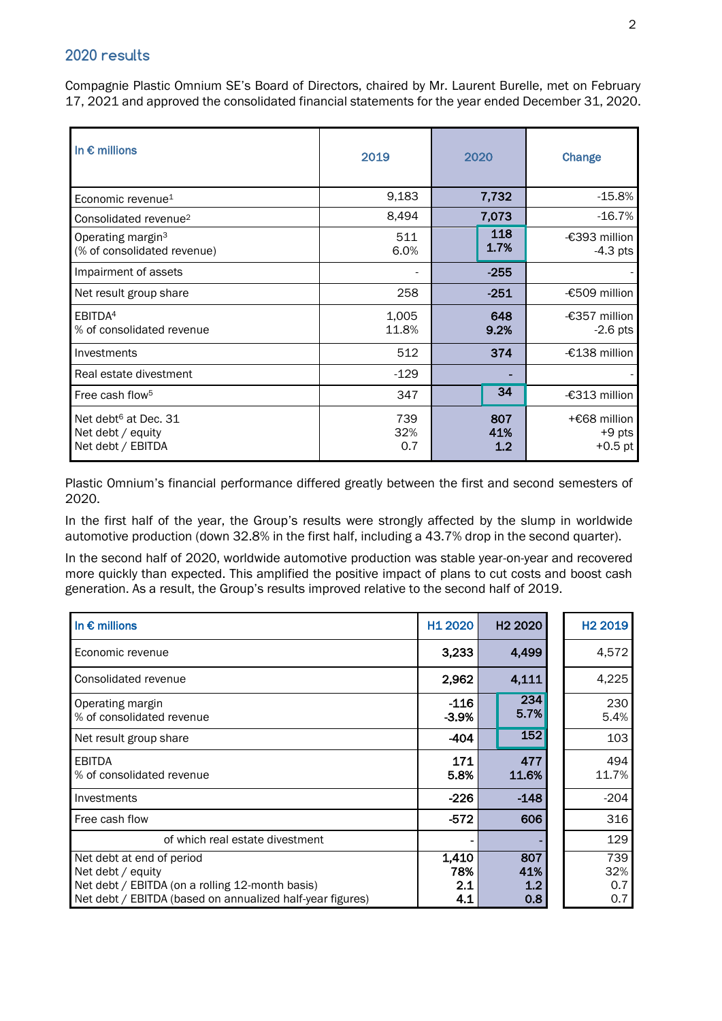## **2020 results**

Compagnie Plastic Omnium SE's Board of Directors, chaired by Mr. Laurent Burelle, met on February 17, 2021 and approved the consolidated financial statements for the year ended December 31, 2020.

| In $\epsilon$ millions                                                     | 2019              | 2020              | Change                                |  |
|----------------------------------------------------------------------------|-------------------|-------------------|---------------------------------------|--|
| Economic revenue <sup>1</sup>                                              | 9,183             | 7,732             | $-15.8%$                              |  |
| Consolidated revenue <sup>2</sup>                                          | 8,494             | 7,073             | $-16.7%$                              |  |
| Operating margin <sup>3</sup><br>(% of consolidated revenue)               | 511<br>6.0%       | 118<br>1.7%       | -€393 million<br>$-4.3$ pts           |  |
| Impairment of assets                                                       |                   | $-255$            |                                       |  |
| Net result group share                                                     | 258               | $-251$            | -€509 million                         |  |
| EBITDA <sup>4</sup><br>% of consolidated revenue                           | 1,005<br>11.8%    | 648<br>9.2%       | -€357 million<br>$-2.6$ pts           |  |
| Investments                                                                | 512               | 374               | -€138 million                         |  |
| Real estate divestment                                                     | $-129$            |                   |                                       |  |
| Free cash flow <sup>5</sup>                                                | 347               | 34                | -€313 million                         |  |
| Net debt <sup>6</sup> at Dec. 31<br>Net debt / equity<br>Net debt / EBITDA | 739<br>32%<br>0.7 | 807<br>41%<br>1.2 | +€68 million<br>$+9$ pts<br>$+0.5$ pt |  |

Plastic Omnium's financial performance differed greatly between the first and second semesters of 2020.

In the first half of the year, the Group's results were strongly affected by the slump in worldwide automotive production (down 32.8% in the first half, including a 43.7% drop in the second quarter).

In the second half of 2020, worldwide automotive production was stable year-on-year and recovered more quickly than expected. This amplified the positive impact of plans to cut costs and boost cash generation. As a result, the Group's results improved relative to the second half of 2019.

| In $\epsilon$ millions                                    | H <sub>1</sub> 2020 | H <sub>2</sub> 2020 | H <sub>2</sub> 2019 |
|-----------------------------------------------------------|---------------------|---------------------|---------------------|
| Economic revenue                                          | 3,233               | 4,499               | 4,572               |
| Consolidated revenue                                      | 2,962               | 4,111               | 4,225               |
| Operating margin<br>% of consolidated revenue             | $-116$<br>$-3.9%$   | 234<br>5.7%         | 230<br>5.4%         |
| Net result group share                                    | -404                | 152                 | 103                 |
| <b>EBITDA</b><br>% of consolidated revenue                | 171<br>5.8%         | 477<br>11.6%        | 494<br>11.7%        |
| Investments                                               | $-226$              | $-148$              | $-204$              |
| Free cash flow                                            | $-572$              | 606                 | 316                 |
| of which real estate divestment                           |                     |                     | 129                 |
| Net debt at end of period                                 | 1,410               | 807                 | 739                 |
| Net debt / equity                                         | 78%                 | 41%                 | 32%                 |
| Net debt / EBITDA (on a rolling 12-month basis)           | 2.1                 | 1.2                 | 0.7                 |
| Net debt / EBITDA (based on annualized half-year figures) | 4.1                 | 0.8                 | 0.7                 |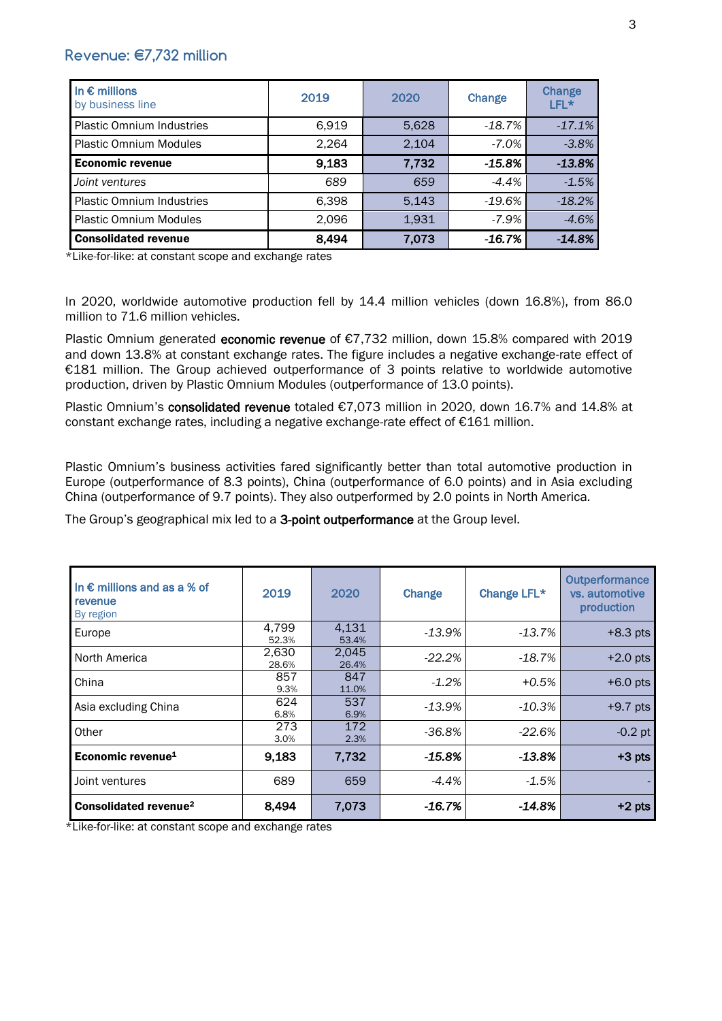## **Revenue: €7,732 million**

| In $\epsilon$ millions<br>by business line | 2019  | 2020  | Change   | Change<br>LFL* |
|--------------------------------------------|-------|-------|----------|----------------|
| <b>Plastic Omnium Industries</b>           | 6,919 | 5,628 | -18.7%   | $-17.1%$       |
| <b>Plastic Omnium Modules</b>              | 2,264 | 2,104 | $-7.0\%$ | $-3.8%$        |
| <b>Economic revenue</b>                    | 9,183 | 7,732 | -15.8%   | $-13.8%$       |
| Joint ventures                             | 689   | 659   | $-4.4\%$ | $-1.5%$        |
| <b>Plastic Omnium Industries</b>           | 6,398 | 5,143 | -19.6%   | $-18.2%$       |
| <b>Plastic Omnium Modules</b>              | 2,096 | 1,931 | $-7.9%$  | $-4.6%$        |
| <b>Consolidated revenue</b>                | 8,494 | 7,073 | -16.7%   | $-14.8%$       |

\*Like-for-like: at constant scope and exchange rates

In 2020, worldwide automotive production fell by 14.4 million vehicles (down 16.8%), from 86.0 million to 71.6 million vehicles.

Plastic Omnium generated economic revenue of €7,732 million, down 15.8% compared with 2019 and down 13.8% at constant exchange rates. The figure includes a negative exchange-rate effect of €181 million. The Group achieved outperformance of 3 points relative to worldwide automotive production, driven by Plastic Omnium Modules (outperformance of 13.0 points).

Plastic Omnium's consolidated revenue totaled €7,073 million in 2020, down 16.7% and 14.8% at constant exchange rates, including a negative exchange-rate effect of  $E161$  million.

Plastic Omnium's business activities fared significantly better than total automotive production in Europe (outperformance of 8.3 points), China (outperformance of 6.0 points) and in Asia excluding China (outperformance of 9.7 points). They also outperformed by 2.0 points in North America.

The Group's geographical mix led to a 3-point outperformance at the Group level.

| In $\epsilon$ millions and as a % of<br>revenue<br>By region | 2019           | 2020           | Change    | Change LFL* | Outperformance<br>vs. automotive<br>production |
|--------------------------------------------------------------|----------------|----------------|-----------|-------------|------------------------------------------------|
| Europe                                                       | 4,799<br>52.3% | 4,131<br>53.4% | $-13.9%$  | $-13.7%$    | $+8.3$ pts                                     |
| North America                                                | 2,630<br>28.6% | 2,045<br>26.4% | $-22.2\%$ | -18.7%      | $+2.0$ pts                                     |
| China                                                        | 857<br>9.3%    | 847<br>11.0%   | $-1.2%$   | $+0.5%$     | $+6.0$ pts                                     |
| Asia excluding China                                         | 624<br>6.8%    | 537<br>6.9%    | $-13.9%$  | $-10.3%$    | $+9.7$ pts                                     |
| Other                                                        | 273<br>3.0%    | 172<br>2.3%    | $-36.8%$  | $-22.6%$    | $-0.2$ pt                                      |
| Economic revenue <sup>1</sup>                                | 9,183          | 7,732          | $-15.8\%$ | $-13.8%$    | $+3$ pts                                       |
| Joint ventures                                               | 689            | 659            | $-4.4%$   | $-1.5%$     |                                                |
| Consolidated revenue <sup>2</sup>                            | 8,494          | 7,073          | -16.7%    | -14.8%      | $+2$ pts                                       |

\*Like-for-like: at constant scope and exchange rates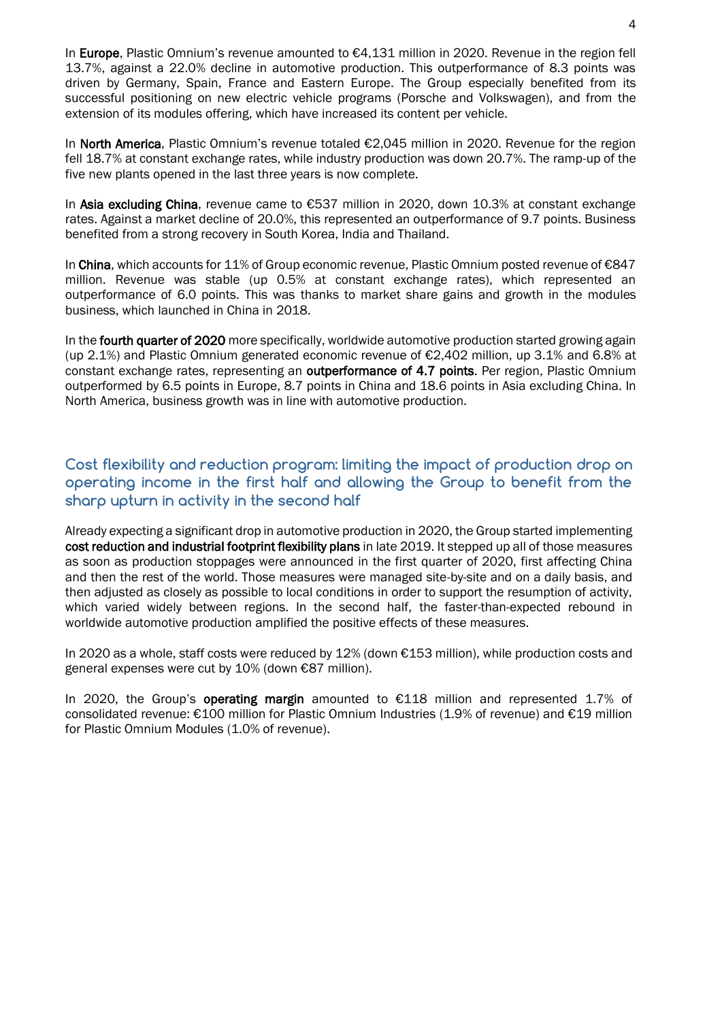In Europe. Plastic Omnium's revenue amounted to €4,131 million in 2020. Revenue in the region fell 13.7%, against a 22.0% decline in automotive production. This outperformance of 8.3 points was driven by Germany, Spain, France and Eastern Europe. The Group especially benefited from its successful positioning on new electric vehicle programs (Porsche and Volkswagen), and from the extension of its modules offering, which have increased its content per vehicle.

In North America, Plastic Omnium's revenue totaled €2,045 million in 2020. Revenue for the region fell 18.7% at constant exchange rates, while industry production was down 20.7%. The ramp-up of the five new plants opened in the last three years is now complete.

In Asia excluding China, revenue came to €537 million in 2020, down 10.3% at constant exchange rates. Against a market decline of 20.0%, this represented an outperformance of 9.7 points. Business benefited from a strong recovery in South Korea, India and Thailand.

In China, which accounts for 11% of Group economic revenue, Plastic Omnium posted revenue of €847 million. Revenue was stable (up 0.5% at constant exchange rates), which represented an outperformance of 6.0 points. This was thanks to market share gains and growth in the modules business, which launched in China in 2018.

In the **fourth quarter of 2020** more specifically, worldwide automotive production started growing again (up 2.1%) and Plastic Omnium generated economic revenue of €2,402 million, up 3.1% and 6.8% at constant exchange rates, representing an **outperformance of 4.7 points**. Per region, Plastic Omnium outperformed by 6.5 points in Europe, 8.7 points in China and 18.6 points in Asia excluding China. In North America, business growth was in line with automotive production.

## **Cost flexibility and reduction program: limiting the impact of production drop on operating income in the first half and allowing the Group to benefit from the sharp upturn in activity in the second half**

Already expecting a significant drop in automotive production in 2020, the Group started implementing cost reduction and industrial footprint flexibility plans in late 2019. It stepped up all of those measures as soon as production stoppages were announced in the first quarter of 2020, first affecting China and then the rest of the world. Those measures were managed site-by-site and on a daily basis, and then adjusted as closely as possible to local conditions in order to support the resumption of activity, which varied widely between regions. In the second half, the faster-than-expected rebound in worldwide automotive production amplified the positive effects of these measures.

In 2020 as a whole, staff costs were reduced by 12% (down €153 million), while production costs and general expenses were cut by 10% (down €87 million).

In 2020, the Group's operating margin amounted to  $E118$  million and represented 1.7% of consolidated revenue: €100 million for Plastic Omnium Industries (1.9% of revenue) and €19 million for Plastic Omnium Modules (1.0% of revenue).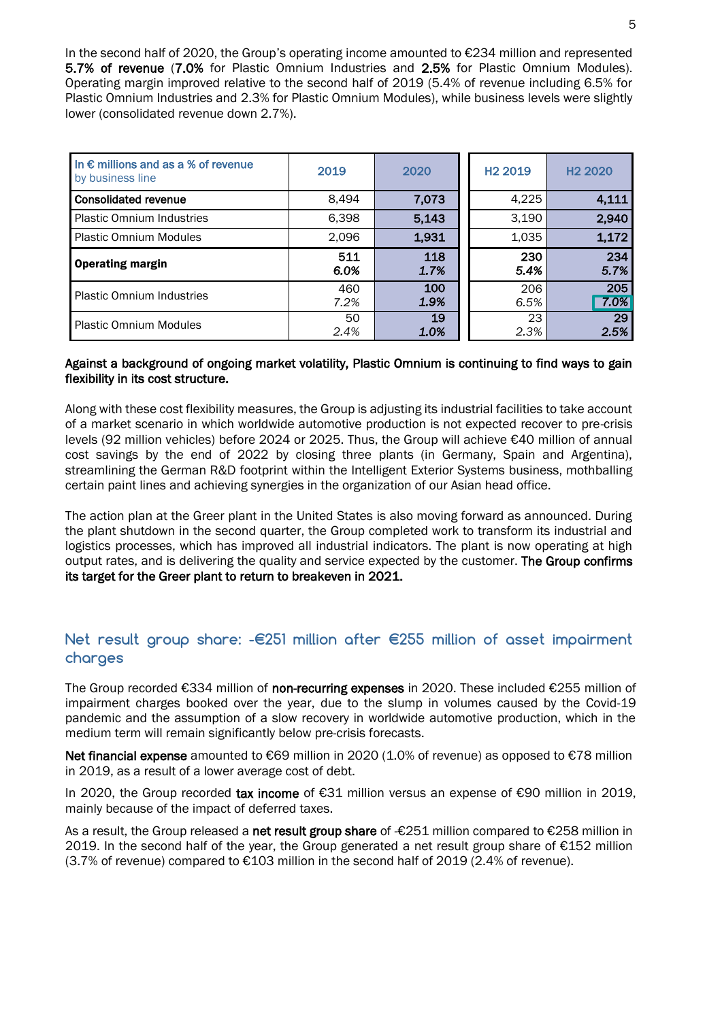In the second half of 2020, the Group's operating income amounted to €234 million and represented 5.7% of revenue (7.0% for Plastic Omnium Industries and 2.5% for Plastic Omnium Modules). Operating margin improved relative to the second half of 2019 (5.4% of revenue including 6.5% for Plastic Omnium Industries and 2.3% for Plastic Omnium Modules), while business levels were slightly lower (consolidated revenue down 2.7%).

| In $\epsilon$ millions and as a % of revenue<br>by business line | 2019        | 2020        | H <sub>2</sub> 2019 | H <sub>2</sub> 2020 |
|------------------------------------------------------------------|-------------|-------------|---------------------|---------------------|
| <b>Consolidated revenue</b>                                      | 8,494       | 7,073       | 4,225               | 4,111               |
| <b>Plastic Omnium Industries</b>                                 | 6,398       | 5,143       | 3,190               | 2,940               |
| <b>Plastic Omnium Modules</b>                                    | 2,096       | 1,931       | 1,035               | 1,172               |
| <b>Operating margin</b>                                          | 511<br>6.0% | 118<br>1.7% | 230<br>5.4%         | 234<br>5.7%         |
| <b>Plastic Omnium Industries</b>                                 | 460<br>7.2% | 100<br>1.9% | 206<br>6.5%         | 205<br>7.0%         |
| <b>Plastic Omnium Modules</b>                                    | 50<br>2.4%  | 19<br>1.0%  | 23<br>2.3%          | 29<br>2.5%          |

#### Against a background of ongoing market volatility, Plastic Omnium is continuing to find ways to gain flexibility in its cost structure.

Along with these cost flexibility measures, the Group is adjusting its industrial facilities to take account of a market scenario in which worldwide automotive production is not expected recover to pre-crisis levels (92 million vehicles) before 2024 or 2025. Thus, the Group will achieve €40 million of annual cost savings by the end of 2022 by closing three plants (in Germany, Spain and Argentina), streamlining the German R&D footprint within the Intelligent Exterior Systems business, mothballing certain paint lines and achieving synergies in the organization of our Asian head office.

The action plan at the Greer plant in the United States is also moving forward as announced. During the plant shutdown in the second quarter, the Group completed work to transform its industrial and logistics processes, which has improved all industrial indicators. The plant is now operating at high output rates, and is delivering the quality and service expected by the customer. The Group confirms its target for the Greer plant to return to breakeven in 2021.

## **Net result group share: -€251 million after €255 million of asset impairment charges**

The Group recorded €334 million of non-recurring expenses in 2020. These included €255 million of impairment charges booked over the year, due to the slump in volumes caused by the Covid-19 pandemic and the assumption of a slow recovery in worldwide automotive production, which in the medium term will remain significantly below pre-crisis forecasts.

Net financial expense amounted to €69 million in 2020 (1.0% of revenue) as opposed to €78 million in 2019, as a result of a lower average cost of debt.

In 2020, the Group recorded tax income of €31 million versus an expense of €90 million in 2019. mainly because of the impact of deferred taxes.

As a result, the Group released a net result group share of -€251 million compared to €258 million in 2019. In the second half of the year, the Group generated a net result group share of €152 million  $(3.7%$  of revenue) compared to  $\epsilon$ 103 million in the second half of 2019 (2.4% of revenue).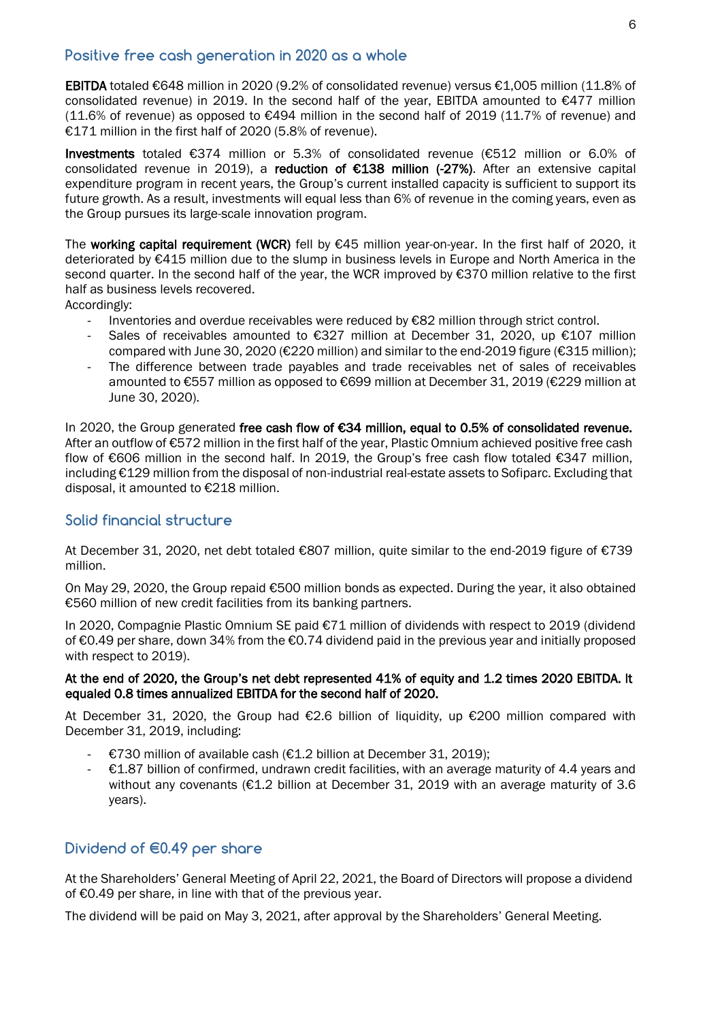### **Positive free cash generation in 2020 as a whole**

EBITDA totaled €648 million in 2020 (9.2% of consolidated revenue) versus €1,005 million (11.8% of consolidated revenue) in 2019. In the second half of the year, EBITDA amounted to €477 million  $(11.6\%$  of revenue) as opposed to  $€494$  million in the second half of 2019  $(11.7\%$  of revenue) and €171 million in the first half of 2020 (5.8% of revenue).

Investments totaled €374 million or 5.3% of consolidated revenue (€512 million or 6.0% of consolidated revenue in 2019), a reduction of €138 million (-27%). After an extensive capital expenditure program in recent years, the Group's current installed capacity is sufficient to support its future growth. As a result, investments will equal less than 6% of revenue in the coming years, even as the Group pursues its large-scale innovation program.

The working capital requirement (WCR) fell by  $\epsilon$ 45 million year-on-year. In the first half of 2020, it deteriorated by €415 million due to the slump in business levels in Europe and North America in the second quarter. In the second half of the year, the WCR improved by €370 million relative to the first half as business levels recovered.

Accordingly:

- Inventories and overdue receivables were reduced by €82 million through strict control.
- Sales of receivables amounted to €327 million at December 31, 2020, up €107 million compared with June 30, 2020 (€220 million) and similar to the end-2019 figure (€315 million);
- The difference between trade payables and trade receivables net of sales of receivables amounted to €557 million as opposed to €699 million at December 31, 2019 (€229 million at June 30, 2020).

In 2020, the Group generated free cash flow of €34 million, equal to 0.5% of consolidated revenue. After an outflow of €572 million in the first half of the year, Plastic Omnium achieved positive free cash flow of €606 million in the second half. In 2019, the Group's free cash flow totaled €347 million, including €129 million from the disposal of non-industrial real-estate assets to Sofiparc. Excluding that disposal, it amounted to €218 million.

#### **Solid financial structure**

At December 31, 2020, net debt totaled €807 million, quite similar to the end-2019 figure of €739 million.

On May 29, 2020, the Group repaid €500 million bonds as expected. During the year, it also obtained €560 million of new credit facilities from its banking partners.

In 2020, Compagnie Plastic Omnium SE paid €71 million of dividends with respect to 2019 (dividend of €0.49 per share, down 34% from the €0.74 dividend paid in the previous year and initially proposed with respect to 2019).

#### At the end of 2020, the Group's net debt represented 41% of equity and 1.2 times 2020 EBITDA. It equaled 0.8 times annualized EBITDA for the second half of 2020.

At December 31, 2020, the Group had €2.6 billion of liquidity, up €200 million compared with December 31, 2019, including:

- €730 million of available cash (€1.2 billion at December 31, 2019);
- $\epsilon$  61.87 billion of confirmed, undrawn credit facilities, with an average maturity of 4.4 years and without any covenants (€1.2 billion at December 31, 2019 with an average maturity of 3.6 years).

### **Dividend of €0.49 per share**

At the Shareholders' General Meeting of April 22, 2021, the Board of Directors will propose a dividend of €0.49 per share, in line with that of the previous year.

The dividend will be paid on May 3, 2021, after approval by the Shareholders' General Meeting.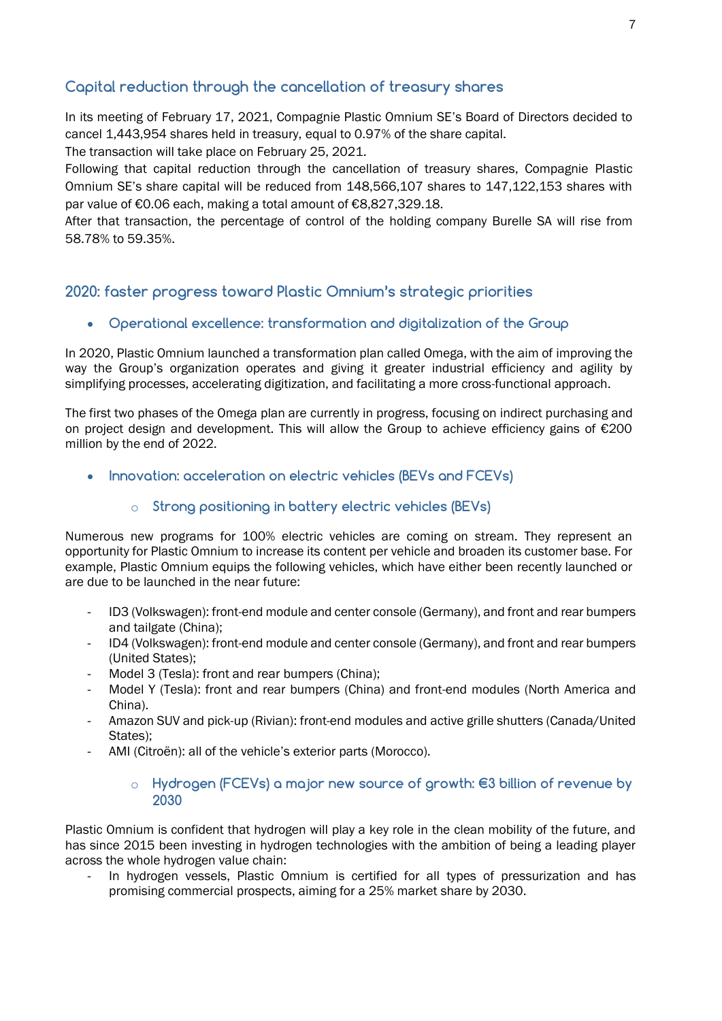## **Capital reduction through the cancellation of treasury shares**

In its meeting of February 17, 2021, Compagnie Plastic Omnium SE's Board of Directors decided to cancel 1,443,954 shares held in treasury, equal to 0.97% of the share capital.

The transaction will take place on February 25, 2021.

Following that capital reduction through the cancellation of treasury shares, Compagnie Plastic Omnium SE's share capital will be reduced from 148,566,107 shares to 147,122,153 shares with par value of €0.06 each, making a total amount of €8,827,329.18.

After that transaction, the percentage of control of the holding company Burelle SA will rise from 58.78% to 59.35%.

# **2020: faster progress toward Plastic Omnium's strategic priorities**

**Operational excellence: transformation and digitalization of the Group** 

In 2020, Plastic Omnium launched a transformation plan called Omega, with the aim of improving the way the Group's organization operates and giving it greater industrial efficiency and agility by simplifying processes, accelerating digitization, and facilitating a more cross-functional approach.

The first two phases of the Omega plan are currently in progress, focusing on indirect purchasing and on project design and development. This will allow the Group to achieve efficiency gains of €200 million by the end of 2022.

**Innovation: acceleration on electric vehicles (BEVs and FCEVs)**

### o **Strong positioning in battery electric vehicles (BEVs)**

Numerous new programs for 100% electric vehicles are coming on stream. They represent an opportunity for Plastic Omnium to increase its content per vehicle and broaden its customer base. For example, Plastic Omnium equips the following vehicles, which have either been recently launched or are due to be launched in the near future:

- ID3 (Volkswagen): front-end module and center console (Germany), and front and rear bumpers and tailgate (China);
- ID4 (Volkswagen): front-end module and center console (Germany), and front and rear bumpers (United States);
- Model 3 (Tesla): front and rear bumpers (China);
- Model Y (Tesla): front and rear bumpers (China) and front-end modules (North America and China).
- Amazon SUV and pick-up (Rivian): front-end modules and active grille shutters (Canada/United States);
- AMI (Citroën): all of the vehicle's exterior parts (Morocco).

#### o **Hydrogen (FCEVs) a major new source of growth: €3 billion of revenue by 2030**

Plastic Omnium is confident that hydrogen will play a key role in the clean mobility of the future, and has since 2015 been investing in hydrogen technologies with the ambition of being a leading player across the whole hydrogen value chain:

In hydrogen vessels, Plastic Omnium is certified for all types of pressurization and has promising commercial prospects, aiming for a 25% market share by 2030.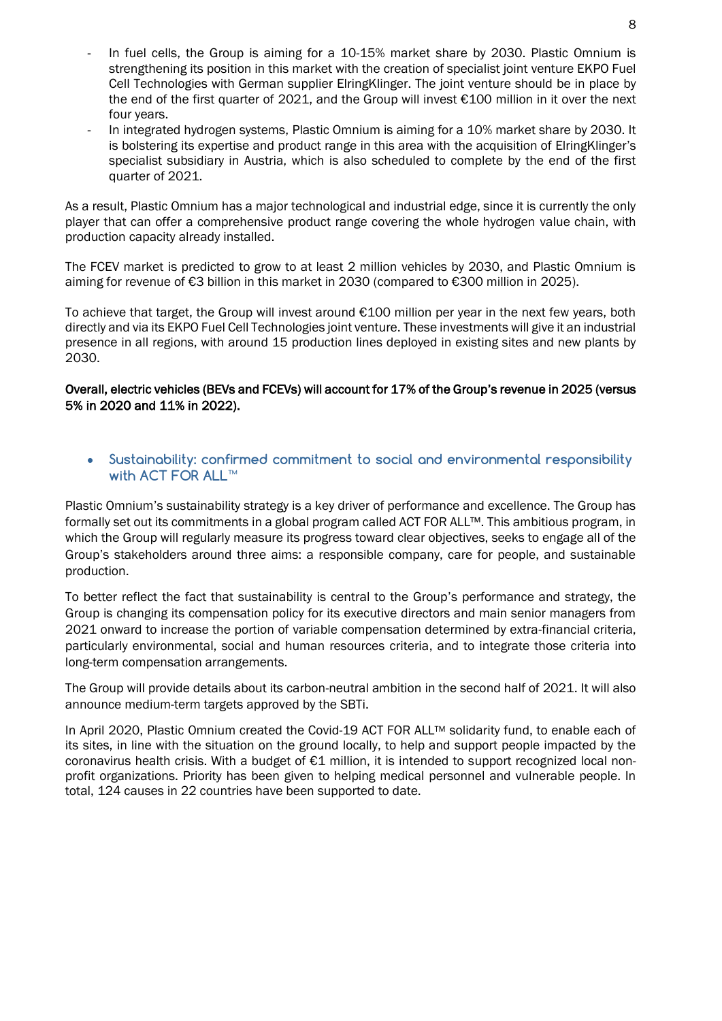- In fuel cells, the Group is aiming for a 10-15% market share by 2030. Plastic Omnium is strengthening its position in this market with the creation of specialist joint venture EKPO Fuel Cell Technologies with German supplier ElringKlinger. The joint venture should be in place by the end of the first quarter of 2021, and the Group will invest €100 million in it over the next four years.
- In integrated hydrogen systems, Plastic Omnium is aiming for a 10% market share by 2030. It is bolstering its expertise and product range in this area with the acquisition of ElringKlinger's specialist subsidiary in Austria, which is also scheduled to complete by the end of the first quarter of 2021.

As a result, Plastic Omnium has a major technological and industrial edge, since it is currently the only player that can offer a comprehensive product range covering the whole hydrogen value chain, with production capacity already installed.

The FCEV market is predicted to grow to at least 2 million vehicles by 2030, and Plastic Omnium is aiming for revenue of €3 billion in this market in 2030 (compared to €300 million in 2025).

To achieve that target, the Group will invest around €100 million per year in the next few years, both directly and via its EKPO Fuel Cell Technologies joint venture. These investments will give it an industrial presence in all regions, with around 15 production lines deployed in existing sites and new plants by 2030.

#### Overall, electric vehicles (BEVs and FCEVs) will account for 17% of the Group's revenue in 2025 (versus 5% in 2020 and 11% in 2022).

 **Sustainability: confirmed commitment to social and environmental responsibility with ACT FOR ALL™**

Plastic Omnium's sustainability strategy is a key driver of performance and excellence. The Group has formally set out its commitments in a global program called ACT FOR ALL™. This ambitious program, in which the Group will regularly measure its progress toward clear objectives, seeks to engage all of the Group's stakeholders around three aims: a responsible company, care for people, and sustainable production.

To better reflect the fact that sustainability is central to the Group's performance and strategy, the Group is changing its compensation policy for its executive directors and main senior managers from 2021 onward to increase the portion of variable compensation determined by extra-financial criteria, particularly environmental, social and human resources criteria, and to integrate those criteria into long-term compensation arrangements.

The Group will provide details about its carbon-neutral ambition in the second half of 2021. It will also announce medium-term targets approved by the SBTi.

In April 2020, Plastic Omnium created the Covid-19 ACT FOR ALL™ solidarity fund, to enable each of its sites, in line with the situation on the ground locally, to help and support people impacted by the coronavirus health crisis. With a budget of  $E1$  million, it is intended to support recognized local nonprofit organizations. Priority has been given to helping medical personnel and vulnerable people. In total, 124 causes in 22 countries have been supported to date.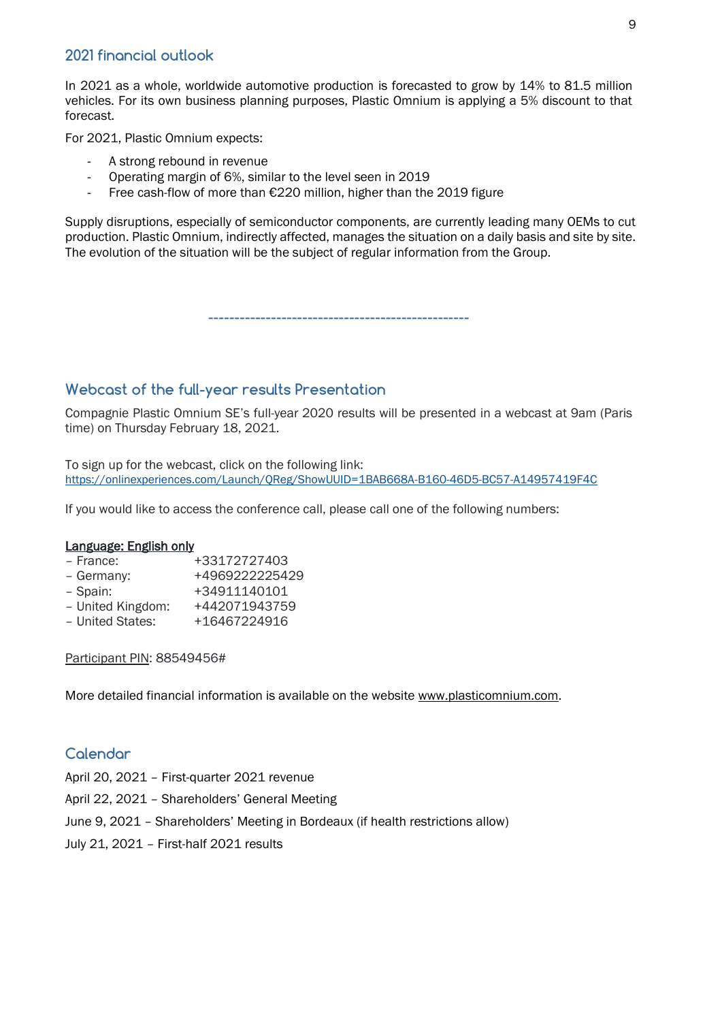## **2021 financial outlook**

In 2021 as a whole, worldwide automotive production is forecasted to grow by 14% to 81.5 million vehicles. For its own business planning purposes, Plastic Omnium is applying a 5% discount to that forecast.

For 2021, Plastic Omnium expects:

- A strong rebound in revenue
- Operating margin of 6%, similar to the level seen in 2019
- Free cash-flow of more than €220 million, higher than the 2019 figure

Supply disruptions, especially of semiconductor components, are currently leading many OEMs to cut production. Plastic Omnium, indirectly affected, manages the situation on a daily basis and site by site. The evolution of the situation will be the subject of regular information from the Group.

**--------------------------------------------------**

## **Webcast of the full-year results Presentation**

Compagnie Plastic Omnium SE's full-year 2020 results will be presented in a webcast at 9am (Paris time) on Thursday February 18, 2021.

To sign up for the webcast, click on the following link: <https://onlinexperiences.com/Launch/QReg/ShowUUID=1BAB668A-B160-46D5-BC57-A14957419F4C>

If you would like to access the conference call, please call one of the following numbers:

#### Language: English only

- France: +33172727403
- Germany: +4969222225429 – Spain: +34911140101
- United Kingdom: +442071943759
- United States: +16467224916
- 

Participant PIN: 88549456#

More detailed financial information is available on the website [www.plasticomnium.com.](http://www.plasticomnium.com/)

### **Calendar**

- April 20, 2021 First-quarter 2021 revenue
- April 22, 2021 Shareholders' General Meeting
- June 9, 2021 Shareholders' Meeting in Bordeaux (if health restrictions allow)
- July 21, 2021 First-half 2021 results